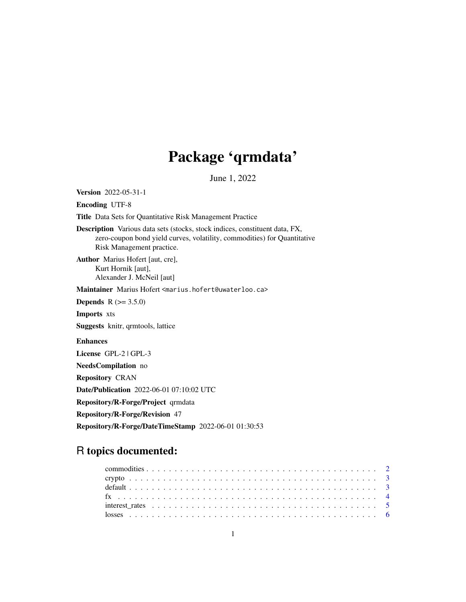# Package 'qrmdata'

June 1, 2022

<span id="page-0-0"></span>Version 2022-05-31-1

Encoding UTF-8

Title Data Sets for Quantitative Risk Management Practice

Description Various data sets (stocks, stock indices, constituent data, FX, zero-coupon bond yield curves, volatility, commodities) for Quantitative Risk Management practice.

Author Marius Hofert [aut, cre], Kurt Hornik [aut], Alexander J. McNeil [aut]

Maintainer Marius Hofert <marius.hofert@uwaterloo.ca>

**Depends**  $R (= 3.5.0)$ 

Imports xts

Suggests knitr, qrmtools, lattice

## Enhances

License GPL-2 | GPL-3

NeedsCompilation no

Repository CRAN

Date/Publication 2022-06-01 07:10:02 UTC

Repository/R-Forge/Project qrmdata

Repository/R-Forge/Revision 47

Repository/R-Forge/DateTimeStamp 2022-06-01 01:30:53

# R topics documented: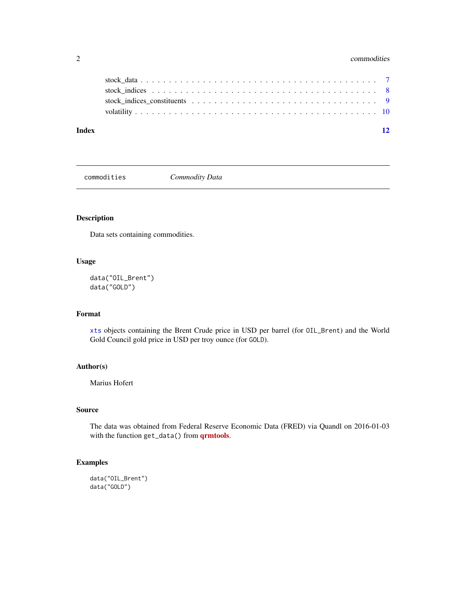## <span id="page-1-0"></span>2 commodities **2** commodities

| Index |  |  |  |  |  |  |  |  |  |  |  |  |  |  |  |  |
|-------|--|--|--|--|--|--|--|--|--|--|--|--|--|--|--|--|
|       |  |  |  |  |  |  |  |  |  |  |  |  |  |  |  |  |
|       |  |  |  |  |  |  |  |  |  |  |  |  |  |  |  |  |
|       |  |  |  |  |  |  |  |  |  |  |  |  |  |  |  |  |
|       |  |  |  |  |  |  |  |  |  |  |  |  |  |  |  |  |

commodities *Commodity Data*

## Description

Data sets containing commodities.

## Usage

```
data("OIL_Brent")
data("GOLD")
```
## Format

[xts](#page-0-0) objects containing the Brent Crude price in USD per barrel (for OIL\_Brent) and the World Gold Council gold price in USD per troy ounce (for GOLD).

## Author(s)

Marius Hofert

## Source

The data was obtained from Federal Reserve Economic Data (FRED) via Quandl on 2016-01-03 with the function get\_data() from **[qrmtools](https://CRAN.R-project.org/package=qrmtools)**.

## Examples

```
data("OIL_Brent")
data("GOLD")
```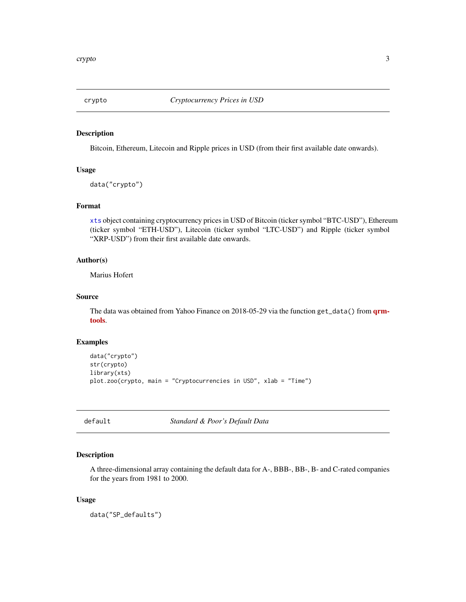<span id="page-2-0"></span>

## Description

Bitcoin, Ethereum, Litecoin and Ripple prices in USD (from their first available date onwards).

#### Usage

data("crypto")

## Format

[xts](#page-0-0) object containing cryptocurrency prices in USD of Bitcoin (ticker symbol "BTC-USD"), Ethereum (ticker symbol "ETH-USD"), Litecoin (ticker symbol "LTC-USD") and Ripple (ticker symbol "XRP-USD") from their first available date onwards.

## Author(s)

Marius Hofert

#### Source

The data was obtained from Yahoo Finance on 2018-05-29 via the function get\_data() from **[qrm](https://CRAN.R-project.org/package=qrmtools)**[tools](https://CRAN.R-project.org/package=qrmtools).

#### Examples

```
data("crypto")
str(crypto)
library(xts)
plot.zoo(crypto, main = "Cryptocurrencies in USD", xlab = "Time")
```
default *Standard & Poor's Default Data*

## Description

A three-dimensional array containing the default data for A-, BBB-, BB-, B- and C-rated companies for the years from 1981 to 2000.

#### Usage

data("SP\_defaults")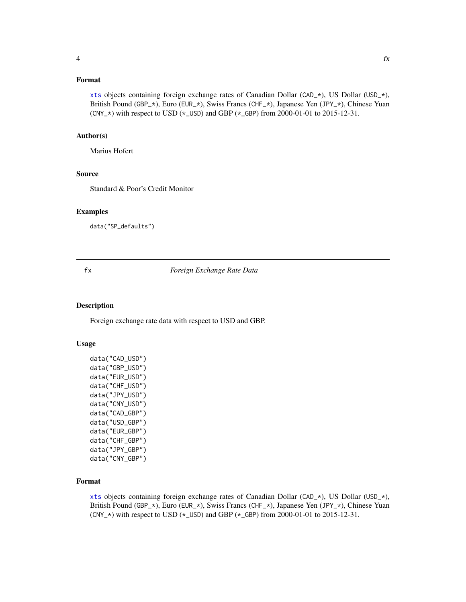## <span id="page-3-0"></span>Format

[xts](#page-0-0) objects containing foreign exchange rates of Canadian Dollar (CAD\_\*), US Dollar (USD\_\*), British Pound (GBP\_\*), Euro (EUR\_\*), Swiss Francs (CHF\_\*), Japanese Yen (JPY\_\*), Chinese Yuan  $(CNY_*\)$  with respect to USD ( $\star$ \_USD) and GBP ( $\star$ \_GBP) from 2000-01-01 to 2015-12-31.

#### Author(s)

Marius Hofert

## Source

Standard & Poor's Credit Monitor

## Examples

data("SP\_defaults")

## fx *Foreign Exchange Rate Data*

## Description

Foreign exchange rate data with respect to USD and GBP.

## Usage

```
data("CAD_USD")
data("GBP_USD")
data("EUR_USD")
data("CHF_USD")
data("JPY_USD")
data("CNY_USD")
data("CAD_GBP")
data("USD_GBP")
data("EUR_GBP")
data("CHF_GBP")
data("JPY_GBP")
data("CNY_GBP")
```
#### Format

[xts](#page-0-0) objects containing foreign exchange rates of Canadian Dollar (CAD\_\*), US Dollar (USD\_\*), British Pound (GBP\_\*), Euro (EUR\_\*), Swiss Francs (CHF\_\*), Japanese Yen (JPY\_\*), Chinese Yuan  $(CNY_*\)$  with respect to USD ( $\star$ \_USD) and GBP ( $\star$ \_GBP) from 2000-01-01 to 2015-12-31.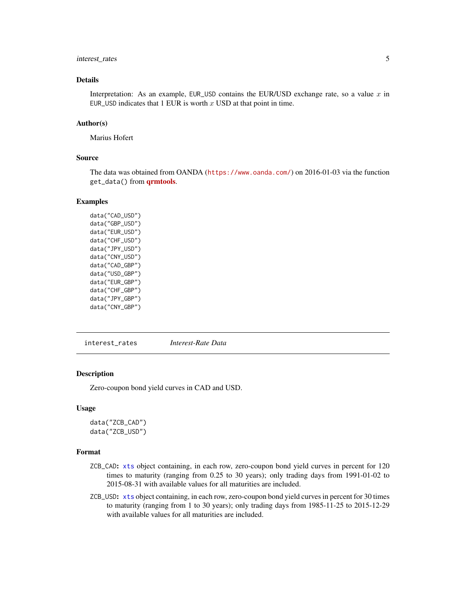## <span id="page-4-0"></span>interest\_rates 5

## Details

Interpretation: As an example, EUR\_USD contains the EUR/USD exchange rate, so a value  $x$  in EUR\_USD indicates that  $1$  EUR is worth  $x$  USD at that point in time.

## Author(s)

Marius Hofert

#### Source

The data was obtained from OANDA (<https://www.oanda.com/>) on 2016-01-03 via the function get\_data() from [qrmtools](https://CRAN.R-project.org/package=qrmtools).

## Examples

data("CAD\_USD") data("GBP\_USD") data("EUR\_USD") data("CHF\_USD") data("JPY\_USD") data("CNY\_USD") data("CAD\_GBP") data("USD\_GBP") data("EUR\_GBP") data("CHF\_GBP") data("JPY\_GBP") data("CNY\_GBP")

interest\_rates *Interest-Rate Data*

#### Description

Zero-coupon bond yield curves in CAD and USD.

#### Usage

data("ZCB\_CAD") data("ZCB\_USD")

## Format

- ZCB\_CAD: [xts](#page-0-0) object containing, in each row, zero-coupon bond yield curves in percent for 120 times to maturity (ranging from 0.25 to 30 years); only trading days from 1991-01-02 to 2015-08-31 with available values for all maturities are included.
- ZCB\_USD: [xts](#page-0-0) object containing, in each row, zero-coupon bond yield curves in percent for 30 times to maturity (ranging from 1 to 30 years); only trading days from 1985-11-25 to 2015-12-29 with available values for all maturities are included.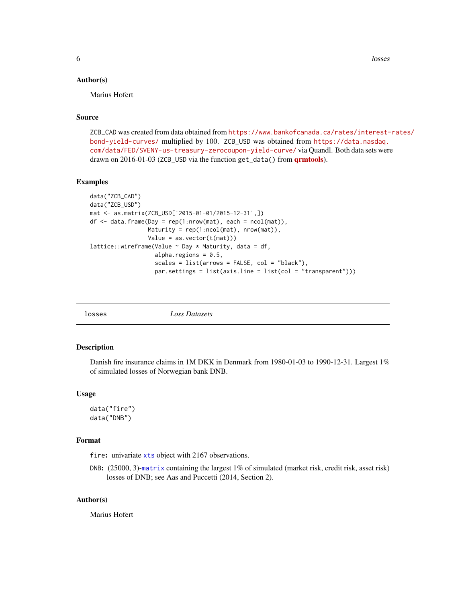<span id="page-5-0"></span>**6** losses and the contract of the contract of the contract of the contract of the contract of the contract of the contract of the contract of the contract of the contract of the contract of the contract of the contract of

#### Author(s)

Marius Hofert

## Source

ZCB\_CAD was created from data obtained from [https://www.bankofcanada.ca/rates/interest-](https://www.bankofcanada.ca/rates/interest-rates/bond-yield-curves/)rates/ [bond-yield-curves/](https://www.bankofcanada.ca/rates/interest-rates/bond-yield-curves/) multiplied by 100. ZCB\_USD was obtained from [https://data.nasdaq.](https://data.nasdaq.com/data/FED/SVENY-us-treasury-zerocoupon-yield-curve/) [com/data/FED/SVENY-us-treasury-zerocoupon-yield-curve/](https://data.nasdaq.com/data/FED/SVENY-us-treasury-zerocoupon-yield-curve/) via Quandl. Both data sets were drawn on 2016-01-03 (ZCB\_USD via the function get\_data() from **[qrmtools](https://CRAN.R-project.org/package=qrmtools)**).

#### Examples

```
data("ZCB_CAD")
data("ZCB_USD")
mat <- as.matrix(ZCB_USD['2015-01-01/2015-12-31',])
df <- data.frame(Day = rep(1:nrow(mat), each = ncol(mat)),
                 Maturity = rep(1:ncol(mat), nrow(mat)),
                 Value = as.vector(t(mat)))
lattice::wireframe(Value \sim Day * Maturity, data = df,
                   alpha.regions = 0.5,
                   scales = list(arrows = FALSE, col = "black"),par.settings = list(axis.line = list(col = "transparent")))
```
losses *Loss Datasets*

## Description

Danish fire insurance claims in 1M DKK in Denmark from 1980-01-03 to 1990-12-31. Largest 1% of simulated losses of Norwegian bank DNB.

#### Usage

```
data("fire")
data("DNB")
```
## Format

fire: univariate [xts](#page-0-0) object with 2167 observations.

DNB: (25000, 3)-[matrix](#page-0-0) containing the largest 1% of simulated (market risk, credit risk, asset risk) losses of DNB; see Aas and Puccetti (2014, Section 2).

## Author(s)

Marius Hofert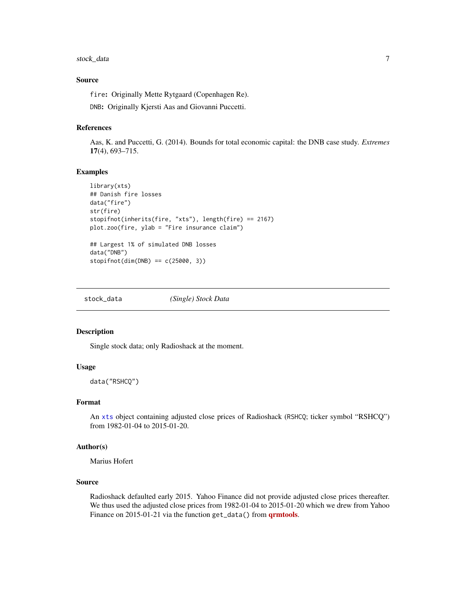## <span id="page-6-0"></span>stock\_data 7

## Source

fire: Originally Mette Rytgaard (Copenhagen Re). DNB: Originally Kjersti Aas and Giovanni Puccetti.

#### References

Aas, K. and Puccetti, G. (2014). Bounds for total economic capital: the DNB case study. *Extremes* 17(4), 693–715.

#### Examples

```
library(xts)
## Danish fire losses
data("fire")
str(fire)
stopifnot(inherits(fire, "xts"), length(fire) == 2167)
plot.zoo(fire, ylab = "Fire insurance claim")
## Largest 1% of simulated DNB losses
data("DNB")
stopifnot(dim(DNB) == c(25000, 3))
```
stock\_data *(Single) Stock Data*

#### Description

Single stock data; only Radioshack at the moment.

## Usage

data("RSHCQ")

## Format

An [xts](#page-0-0) object containing adjusted close prices of Radioshack (RSHCQ; ticker symbol "RSHCQ") from 1982-01-04 to 2015-01-20.

## Author(s)

Marius Hofert

## Source

Radioshack defaulted early 2015. Yahoo Finance did not provide adjusted close prices thereafter. We thus used the adjusted close prices from 1982-01-04 to 2015-01-20 which we drew from Yahoo Finance on 2015-01-21 via the function get\_data() from **[qrmtools](https://CRAN.R-project.org/package=qrmtools)**.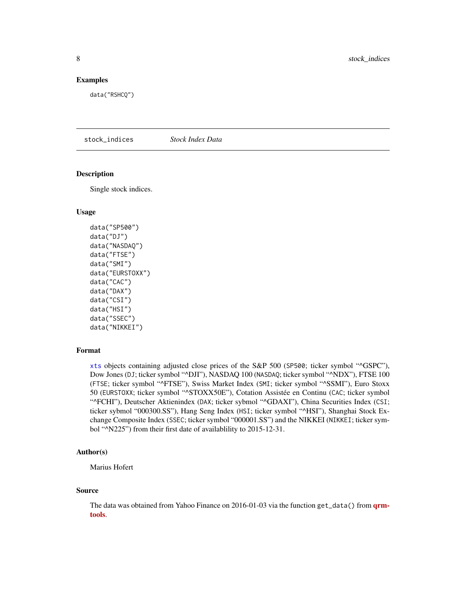#### <span id="page-7-0"></span>Examples

data("RSHCQ")

stock\_indices *Stock Index Data*

## Description

Single stock indices.

## Usage

```
data("SP500")
data("DJ")
data("NASDAQ")
data("FTSE")
data("SMI")
data("EURSTOXX")
data("CAC")
data("DAX")
data("CSI")
data("HSI")
data("SSEC")
data("NIKKEI")
```
### Format

[xts](#page-0-0) objects containing adjusted close prices of the S&P 500 (SP500; ticker symbol "^GSPC"), Dow Jones (DJ; ticker symbol "^DJI"), NASDAQ 100 (NASDAQ; ticker symbol "^NDX"), FTSE 100 (FTSE; ticker symbol "^FTSE"), Swiss Market Index (SMI; ticker symbol "^SSMI"), Euro Stoxx 50 (EURSTOXX; ticker symbol "^STOXX50E"), Cotation Assistée en Continu (CAC; ticker symbol "^FCHI"), Deutscher Aktienindex (DAX; ticker sybmol "^GDAXI"), China Securities Index (CSI; ticker sybmol "000300.SS"), Hang Seng Index (HSI; ticker symbol "^HSI"), Shanghai Stock Exchange Composite Index (SSEC; ticker symbol "000001.SS") and the NIKKEI (NIKKEI; ticker symbol "^N225") from their first date of availablility to 2015-12-31.

## Author(s)

Marius Hofert

#### Source

The data was obtained from Yahoo Finance on 2016-01-03 via the function get\_data() from  $qrm$ [tools](https://CRAN.R-project.org/package=qrmtools).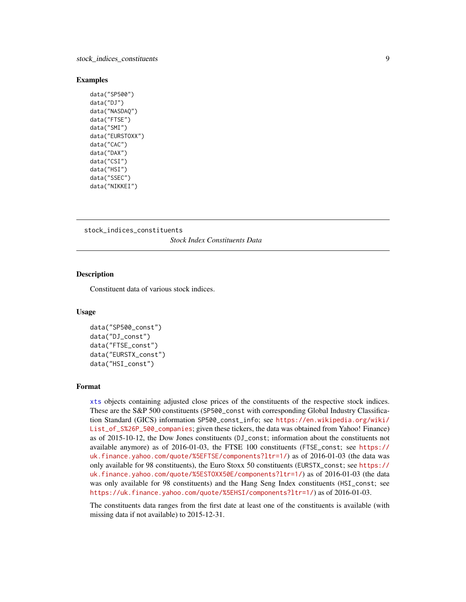#### <span id="page-8-0"></span>Examples

```
data("SP500")
data("DJ")
data("NASDAQ")
data("FTSE")
data("SMI")
data("EURSTOXX")
data("CAC")
data("DAX")
data("CSI")
data("HSI")
data("SSEC")
data("NIKKEI")
```
stock\_indices\_constituents *Stock Index Constituents Data*

## Description

Constituent data of various stock indices.

#### Usage

```
data("SP500_const")
data("DJ_const")
data("FTSE_const")
data("EURSTX_const")
data("HSI_const")
```
#### Format

[xts](#page-0-0) objects containing adjusted close prices of the constituents of the respective stock indices. These are the S&P 500 constituents (SP500\_const with corresponding Global Industry Classification Standard (GICS) information SP500\_const\_info; see [https://en.wikipedia.org/wiki/](https://en.wikipedia.org/wiki/List_of_S%26P_500_companies) [List\\_of\\_S%26P\\_500\\_companies](https://en.wikipedia.org/wiki/List_of_S%26P_500_companies); given these tickers, the data was obtained from Yahoo! Finance) as of 2015-10-12, the Dow Jones constituents (DJ\_const; information about the constituents not available anymore) as of 2016-01-03, the FTSE 100 constituents (FTSE\_const; see [https://](https://uk.finance.yahoo.com/quote/%5EFTSE/components?ltr=1/) [uk.finance.yahoo.com/quote/%5EFTSE/components?ltr=1/](https://uk.finance.yahoo.com/quote/%5EFTSE/components?ltr=1/)) as of 2016-01-03 (the data was only available for 98 constituents), the Euro Stoxx 50 constituents (EURSTX\_const; see [https://](https://uk.finance.yahoo.com/quote/%5ESTOXX50E/components?ltr=1/) [uk.finance.yahoo.com/quote/%5ESTOXX50E/components?ltr=1/](https://uk.finance.yahoo.com/quote/%5ESTOXX50E/components?ltr=1/)) as of 2016-01-03 (the data was only available for 98 constituents) and the Hang Seng Index constituents (HSI\_const; see <https://uk.finance.yahoo.com/quote/%5EHSI/components?ltr=1/>) as of 2016-01-03.

The constituents data ranges from the first date at least one of the constituents is available (with missing data if not available) to 2015-12-31.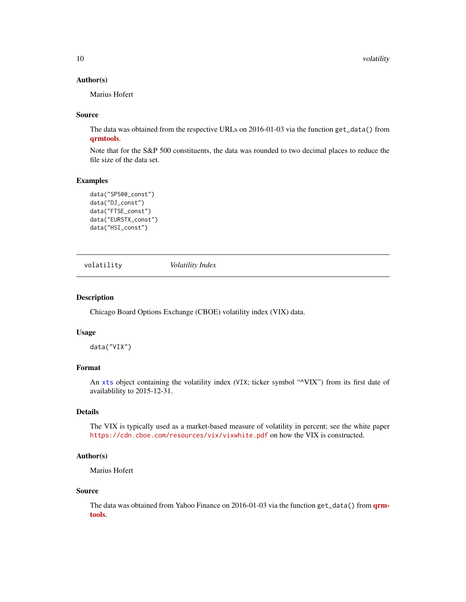## <span id="page-9-0"></span>Author(s)

Marius Hofert

## Source

The data was obtained from the respective URLs on 2016-01-03 via the function get\_data() from [qrmtools](https://CRAN.R-project.org/package=qrmtools).

Note that for the S&P 500 constituents, the data was rounded to two decimal places to reduce the file size of the data set.

#### Examples

```
data("SP500_const")
data("DJ_const")
data("FTSE_const")
data("EURSTX_const")
data("HSI_const")
```
volatility *Volatility Index*

## Description

Chicago Board Options Exchange (CBOE) volatility index (VIX) data.

#### Usage

data("VIX")

## Format

An [xts](#page-0-0) object containing the volatility index (VIX; ticker symbol " $VIX$ ") from its first date of availablility to 2015-12-31.

## Details

The VIX is typically used as a market-based measure of volatility in percent; see the white paper <https://cdn.cboe.com/resources/vix/vixwhite.pdf> on how the VIX is constructed.

## Author(s)

Marius Hofert

#### Source

The data was obtained from Yahoo Finance on 2016-01-03 via the function get\_data() from **[qrm](https://CRAN.R-project.org/package=qrmtools)**[tools](https://CRAN.R-project.org/package=qrmtools).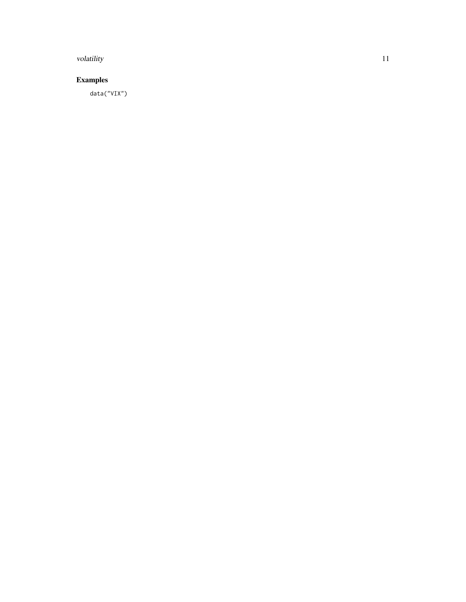#### volatility to the contract of the contract of the contract of the contract of the contract of the contract of the contract of the contract of the contract of the contract of the contract of the contract of the contract of

# Examples

data("VIX")